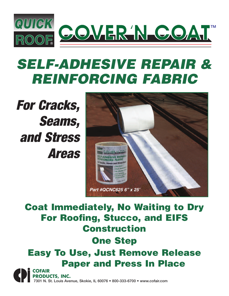

# *SELF-ADHESIVE REPAIR & REINFORCING FABRIC*

*For Cracks, Seams, and Stress Areas*



### **Coat Immediately, No Waiting to Dry For Roofing, Stucco, and EIFS Construction**

#### **One Step**

#### **Easy To Use, Just Remove Release Paper and Press In Place**

**COFAIR PRODUCTS, INC.** 7301 N. St. Louis Avenue, Skokie, IL 60076 • 800-333-6700 • www.cofair.com